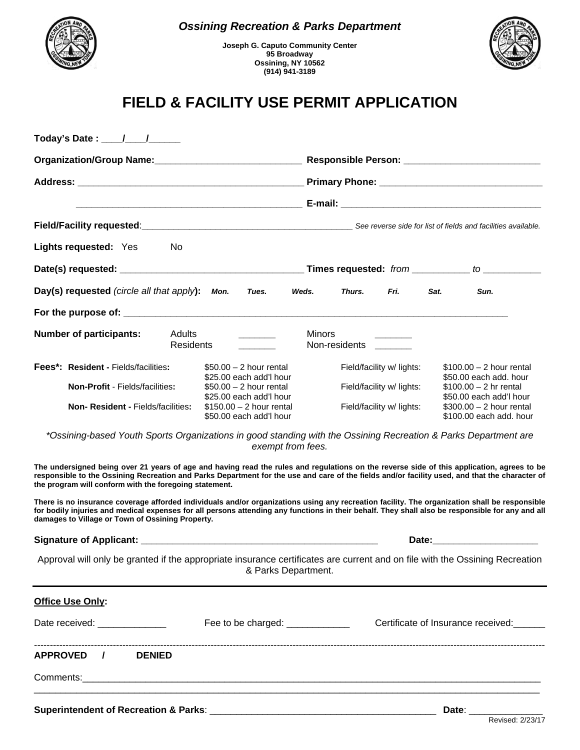

## *Ossining Recreation & Parks Department*

**Joseph G. Caputo Community Center 95 Broadway Ossining, NY 10562 (914) 941-3189** 



## **FIELD & FACILITY USE PERMIT APPLICATION**

| Field/Facility requested:<br>Field/Facility requested:<br>See reverse side for list of fields and facilities available.                                                                                                                                                                                                                                |                     |                                                      |                                                     |                                    |                        |                           |                                                      |  |
|--------------------------------------------------------------------------------------------------------------------------------------------------------------------------------------------------------------------------------------------------------------------------------------------------------------------------------------------------------|---------------------|------------------------------------------------------|-----------------------------------------------------|------------------------------------|------------------------|---------------------------|------------------------------------------------------|--|
| Lights requested: Yes                                                                                                                                                                                                                                                                                                                                  | No                  |                                                      |                                                     |                                    |                        |                           |                                                      |  |
|                                                                                                                                                                                                                                                                                                                                                        |                     |                                                      |                                                     |                                    |                        |                           |                                                      |  |
| Day(s) requested (circle all that apply):                                                                                                                                                                                                                                                                                                              |                     | Mon.                                                 | Tues.                                               | Weds.                              | Thurs.                 | Fri.                      | Sun.<br>Sat.                                         |  |
|                                                                                                                                                                                                                                                                                                                                                        |                     |                                                      |                                                     |                                    |                        |                           |                                                      |  |
| <b>Number of participants:</b>                                                                                                                                                                                                                                                                                                                         | Adults<br>Residents |                                                      |                                                     | <b>Minors</b>                      | Non-residents ________ |                           |                                                      |  |
| <b>Fees*: Resident - Fields/facilities:</b>                                                                                                                                                                                                                                                                                                            |                     |                                                      | $$50.00 - 2$ hour rental<br>\$25.00 each add'l hour |                                    |                        | Field/facility w/ lights: | $$100.00 - 2$ hour rental<br>\$50.00 each add. hour  |  |
| Non-Profit - Fields/facilities:                                                                                                                                                                                                                                                                                                                        |                     |                                                      | $$50.00 - 2$ hour rental<br>\$25.00 each add'l hour |                                    |                        | Field/facility w/ lights: | $$100.00 - 2$ hr rental<br>\$50.00 each add'l hour   |  |
| Non-Resident - Fields/facilities:                                                                                                                                                                                                                                                                                                                      |                     | $$150.00 - 2$ hour rental<br>\$50.00 each add'l hour |                                                     |                                    |                        | Field/facility w/ lights: | $$300.00 - 2$ hour rental<br>\$100.00 each add, hour |  |
| *Ossining-based Youth Sports Organizations in good standing with the Ossining Recreation & Parks Department are                                                                                                                                                                                                                                        |                     |                                                      |                                                     | exempt from fees.                  |                        |                           |                                                      |  |
| The undersigned being over 21 years of age and having read the rules and regulations on the reverse side of this application, agrees to be<br>responsible to the Ossining Recreation and Parks Department for the use and care of the fields and/or facility used, and that the character of<br>the program will conform with the foregoing statement. |                     |                                                      |                                                     |                                    |                        |                           |                                                      |  |
| There is no insurance coverage afforded individuals and/or organizations using any recreation facility. The organization shall be responsible<br>for bodily injuries and medical expenses for all persons attending any functions in their behalf. They shall also be responsible for any and all<br>damages to Village or Town of Ossining Property.  |                     |                                                      |                                                     |                                    |                        |                           |                                                      |  |
|                                                                                                                                                                                                                                                                                                                                                        |                     |                                                      |                                                     |                                    |                        |                           |                                                      |  |
| Approval will only be granted if the appropriate insurance certificates are current and on file with the Ossining Recreation                                                                                                                                                                                                                           |                     |                                                      |                                                     | & Parks Department.                |                        |                           |                                                      |  |
| <b>Office Use Only:</b>                                                                                                                                                                                                                                                                                                                                |                     |                                                      |                                                     |                                    |                        |                           |                                                      |  |
|                                                                                                                                                                                                                                                                                                                                                        |                     |                                                      |                                                     | Certificate of Insurance received: |                        |                           |                                                      |  |
| APPROVED /<br><b>DENIED</b>                                                                                                                                                                                                                                                                                                                            |                     |                                                      |                                                     |                                    |                        |                           |                                                      |  |
|                                                                                                                                                                                                                                                                                                                                                        |                     |                                                      |                                                     |                                    |                        |                           |                                                      |  |
| Superintendent of Recreation & Parks: ____                                                                                                                                                                                                                                                                                                             |                     |                                                      |                                                     |                                    |                        |                           | Date:                                                |  |